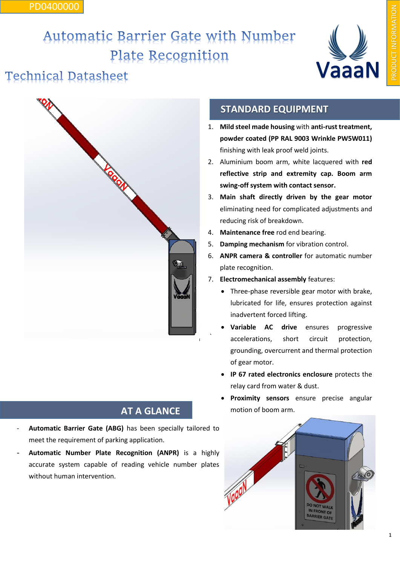#### PD0400000

# Automatic Barrier Gate with Number Plate Recognition

### **Technical Datasheet**



#### **AT A GLANCE**

- **Automatic Barrier Gate (ABG)** has been specially tailored to meet the requirement of parking application.
- **Automatic Number Plate Recognition (ANPR)** is a highly accurate system capable of reading vehicle number plates without human intervention.

### **STANDARD EQUIPMENT**

- 1. **Mild steel made housing** with **anti-rust treatment, powder coated (PP RAL 9003 Wrinkle PW5W011)** finishing with leak proof weld joints.
- 2. Aluminium boom arm, white lacquered with **red reflective strip and extremity cap. Boom arm swing-off system with contact sensor.**
- 3. **Main shaft directly driven by the gear motor**  eliminating need for complicated adjustments and reducing risk of breakdown.
- 4. **Maintenance free** rod end bearing.
- 5. **Damping mechanism** for vibration control.
- 6. **ANPR camera & controller** for automatic number plate recognition.
- 7. **Electromechanical assembly** features:
	- Three-phase reversible gear motor with brake, lubricated for life, ensures protection against inadvertent forced lifting.
	- **Variable AC drive** ensures progressive accelerations, short circuit protection, grounding, overcurrent and thermal protection of gear motor.
	- **IP 67 rated electronics enclosure** protects the relay card from water & dust.
	- **Proximity sensors** ensure precise angular motion of boom arm.



**VaaaN**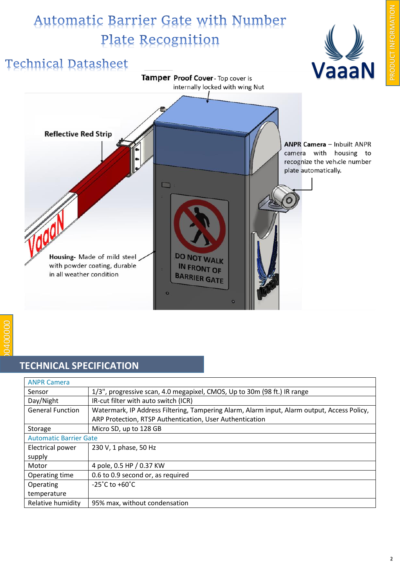## Automatic Barrier Gate with Number Plate Recognition



### **TECHNICAL SPECIFICATION**

| <b>ANPR Camera</b>            |                                                                                             |
|-------------------------------|---------------------------------------------------------------------------------------------|
| Sensor                        | 1/3", progressive scan, 4.0 megapixel, CMOS, Up to 30m (98 ft.) IR range                    |
| Day/Night                     | IR-cut filter with auto switch (ICR)                                                        |
| <b>General Function</b>       | Watermark, IP Address Filtering, Tampering Alarm, Alarm input, Alarm output, Access Policy, |
|                               | ARP Protection, RTSP Authentication, User Authentication                                    |
| Storage                       | Micro SD, up to 128 GB                                                                      |
| <b>Automatic Barrier Gate</b> |                                                                                             |
| Electrical power              | 230 V, 1 phase, 50 Hz                                                                       |
| supply                        |                                                                                             |
| Motor                         | 4 pole, 0.5 HP / 0.37 KW                                                                    |
| Operating time                | 0.6 to 0.9 second or, as required                                                           |
| Operating                     | $-25^{\circ}$ C to $+60^{\circ}$ C                                                          |
| temperature                   |                                                                                             |
| Relative humidity             | 95% max, without condensation                                                               |

PRODUCT INFORMATION

RODUCT INFORMATION